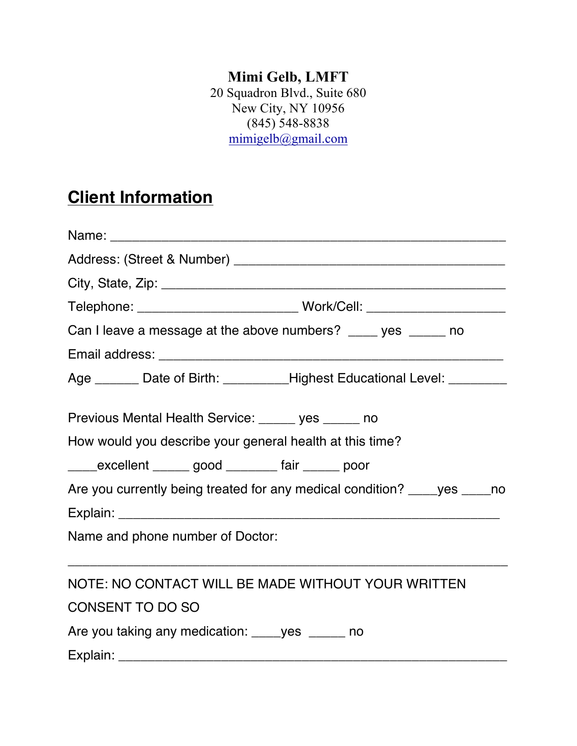## **Mimi Gelb, LMFT**

20 Squadron Blvd., Suite 680 New City, NY 10956 (845) 548-8838 mimigelb@gmail.com

## **Client Information**

| Telephone: ___________________________________Work/Cell: _______________________ |
|----------------------------------------------------------------------------------|
| Can I leave a message at the above numbers? ____ yes _____ no                    |
|                                                                                  |
| Age _______ Date of Birth: _________Highest Educational Level: ________          |
| Previous Mental Health Service: ______ yes ______ no                             |
| How would you describe your general health at this time?                         |
| ______excellent _______ good _________ fair _______ poor                         |
| Are you currently being treated for any medical condition? _____ yes _____ no    |
|                                                                                  |
| Name and phone number of Doctor:                                                 |
| NOTE: NO CONTACT WILL BE MADE WITHOUT YOUR WRITTEN                               |
| <b>CONSENT TO DO SO</b>                                                          |
| Are you taking any medication: _____ yes ______ no                               |
|                                                                                  |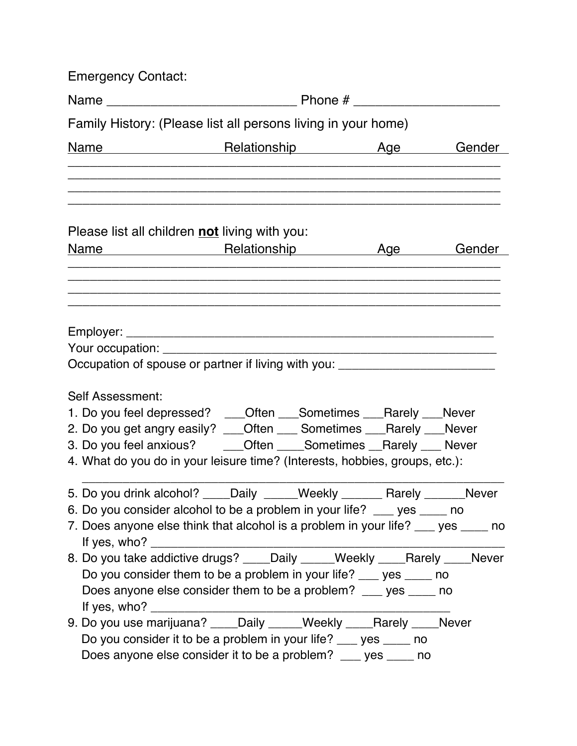| <b>Emergency Contact:</b>                                                         |                                                                                                                      |  |        |  |  |
|-----------------------------------------------------------------------------------|----------------------------------------------------------------------------------------------------------------------|--|--------|--|--|
|                                                                                   |                                                                                                                      |  |        |  |  |
| Family History: (Please list all persons living in your home)                     |                                                                                                                      |  |        |  |  |
| Name                                                                              | <b>Example 20 April 20 April 20 April 20 April 20 April 20 April 20 April 20 April 20 April 20 April 20 April 20</b> |  | Gender |  |  |
|                                                                                   |                                                                                                                      |  |        |  |  |
|                                                                                   |                                                                                                                      |  |        |  |  |
| Please list all children not living with you:                                     |                                                                                                                      |  |        |  |  |
| Name Relationship Age Age                                                         |                                                                                                                      |  | Gender |  |  |
|                                                                                   |                                                                                                                      |  |        |  |  |
|                                                                                   |                                                                                                                      |  |        |  |  |
|                                                                                   |                                                                                                                      |  |        |  |  |
|                                                                                   |                                                                                                                      |  |        |  |  |
| Your occupation: _____________________                                            |                                                                                                                      |  |        |  |  |
| Occupation of spouse or partner if living with you: ____________________________  |                                                                                                                      |  |        |  |  |
| Self Assessment:                                                                  |                                                                                                                      |  |        |  |  |
| 1. Do you feel depressed? ___Often ___Sometimes ___Rarely ___Never                |                                                                                                                      |  |        |  |  |
| 2. Do you get angry easily? ___Often ___ Sometimes ___Rarely ___Never             |                                                                                                                      |  |        |  |  |
| 3. Do you feel anxious? ______Often ______Sometimes ___Rarely ____ Never          |                                                                                                                      |  |        |  |  |
| 4. What do you do in your leisure time? (Interests, hobbies, groups, etc.):       |                                                                                                                      |  |        |  |  |
| 5. Do you drink alcohol? ____Daily _____Weekly _______ Rarely ______Never         |                                                                                                                      |  |        |  |  |
| 6. Do you consider alcohol to be a problem in your life? ___ yes ___ no           |                                                                                                                      |  |        |  |  |
| 7. Does anyone else think that alcohol is a problem in your life? ___ yes ____ no |                                                                                                                      |  |        |  |  |
|                                                                                   |                                                                                                                      |  |        |  |  |
| 8. Do you take addictive drugs? ____Daily _____Weekly ____Rarely ____Never        |                                                                                                                      |  |        |  |  |
|                                                                                   | Do you consider them to be a problem in your life? ___ yes ____ no                                                   |  |        |  |  |
|                                                                                   | Does anyone else consider them to be a problem? ___ yes ____ no                                                      |  |        |  |  |
|                                                                                   |                                                                                                                      |  |        |  |  |
|                                                                                   | Do you consider it to be a problem in your life? ___ yes ____ no                                                     |  |        |  |  |
|                                                                                   | Does anyone else consider it to be a problem? __ yes __ no                                                           |  |        |  |  |
|                                                                                   |                                                                                                                      |  |        |  |  |